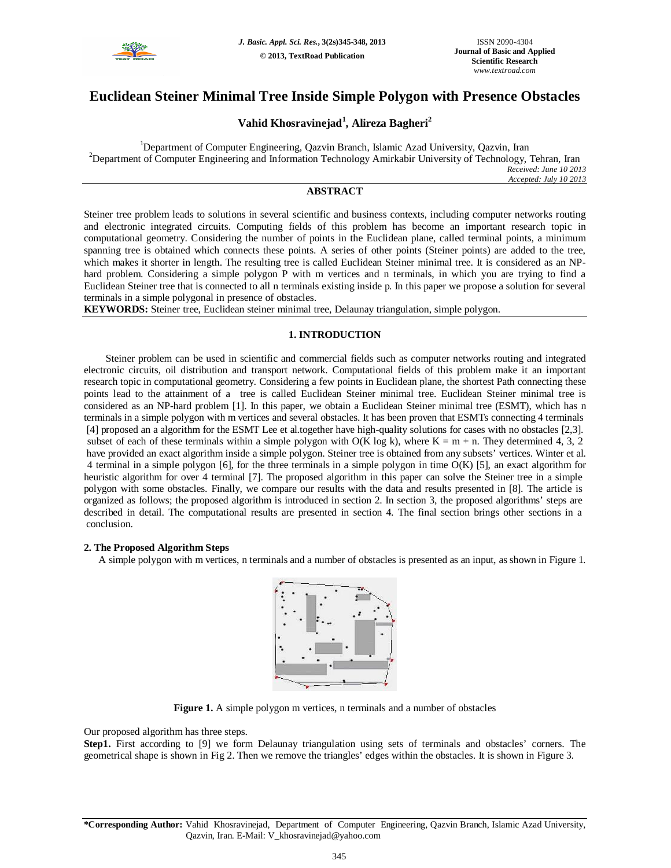

# **Euclidean Steiner Minimal Tree Inside Simple Polygon with Presence Obstacles**

## **Vahid Khosravinejad<sup>1</sup> , Alireza Bagheri<sup>2</sup>**

<sup>1</sup>Department of Computer Engineering, Qazvin Branch, Islamic Azad University, Qazvin, Iran <sup>2</sup>Department of Computer Engineering and Information Technology Amirkabir University of Technology, Tehran, Iran *Received: June 10 2013 Accepted: July 10 2013*

## **ABSTRACT**

Steiner tree problem leads to solutions in several scientific and business contexts, including computer networks routing and electronic integrated circuits. Computing fields of this problem has become an important research topic in computational geometry. Considering the number of points in the Euclidean plane, called terminal points, a minimum spanning tree is obtained which connects these points. A series of other points (Steiner points) are added to the tree, which makes it shorter in length. The resulting tree is called Euclidean Steiner minimal tree. It is considered as an NPhard problem. Considering a simple polygon P with m vertices and n terminals, in which you are trying to find a Euclidean Steiner tree that is connected to all n terminals existing inside p. In this paper we propose a solution for several terminals in a simple polygonal in presence of obstacles.

**KEYWORDS:** Steiner tree, Euclidean steiner minimal tree, Delaunay triangulation, simple polygon.

## **1. INTRODUCTION**

Steiner problem can be used in scientific and commercial fields such as computer networks routing and integrated electronic circuits, oil distribution and transport network. Computational fields of this problem make it an important research topic in computational geometry. Considering a few points in Euclidean plane, the shortest Path connecting these points lead to the attainment of a tree is called Euclidean Steiner minimal tree. Euclidean Steiner minimal tree is considered as an NP-hard problem [1]. In this paper, we obtain a Euclidean Steiner minimal tree (ESMT), which has n terminals in a simple polygon with m vertices and several obstacles. It has been proven that ESMTs connecting 4 terminals [4] proposed an a algorithm for the ESMT Lee et al.together have high-quality solutions for cases with no obstacles [2,3]. subset of each of these terminals within a simple polygon with  $O(K \log k)$ , where  $K = m + n$ . They determined 4, 3, 2 have provided an exact algorithm inside a simple polygon. Steiner tree is obtained from any subsets' vertices. Winter et al. 4 terminal in a simple polygon [6], for the three terminals in a simple polygon in time O(K) [5], an exact algorithm for heuristic algorithm for over 4 terminal [7]. The proposed algorithm in this paper can solve the Steiner tree in a simple polygon with some obstacles. Finally, we compare our results with the data and results presented in [8]. The article is organized as follows; the proposed algorithm is introduced in section 2. In section 3, the proposed algorithms' steps are described in detail. The computational results are presented in section 4. The final section brings other sections in a conclusion.

## **2. The Proposed Algorithm Steps**

A simple polygon with m vertices, n terminals and a number of obstacles is presented as an input, as shown in Figure 1.



**Figure 1.** A simple polygon m vertices, n terminals and a number of obstacles

Our proposed algorithm has three steps.

**Step1.** First according to [9] we form Delaunay triangulation using sets of terminals and obstacles' corners. The geometrical shape is shown in Fig 2. Then we remove the triangles' edges within the obstacles. It is shown in Figure 3.

**\*Corresponding Author:** Vahid Khosravinejad, Department of Computer Engineering, Qazvin Branch, Islamic Azad University, Qazvin, Iran. E-Mail: V\_khosravinejad@yahoo.com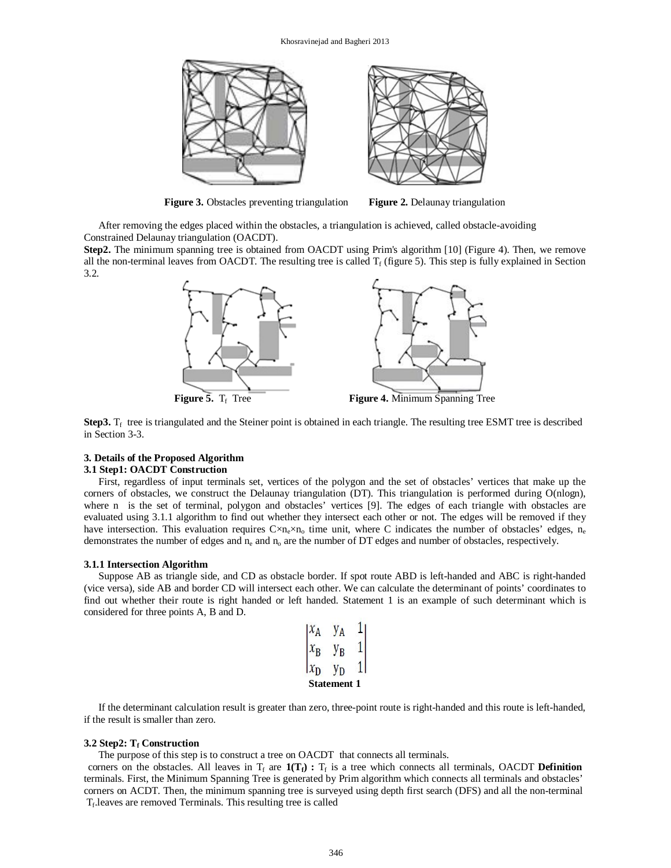

**Figure 3.** Obstacles preventing triangulation **Figure 2.** Delaunay triangulation

After removing the edges placed within the obstacles, a triangulation is achieved, called obstacle-avoiding Constrained Delaunay triangulation (OACDT).

**Step2.** The minimum spanning tree is obtained from OACDT using Prim's algorithm [10] (Figure 4). Then, we remove all the non-terminal leaves from OACDT. The resulting tree is called  $T_f$  (figure 5). This step is fully explained in Section 3.2.



**Step3.**  $T_f$  tree is triangulated and the Steiner point is obtained in each triangle. The resulting tree ESMT tree is described in Section 3-3.

## **3. Details of the Proposed Algorithm**

## **3.1 Step1: OACDT Construction**

First, regardless of input terminals set, vertices of the polygon and the set of obstacles' vertices that make up the corners of obstacles, we construct the Delaunay triangulation (DT). This triangulation is performed during O(nlogn), where n is the set of terminal, polygon and obstacles' vertices [9]. The edges of each triangle with obstacles are evaluated using 3.1.1 algorithm to find out whether they intersect each other or not. The edges will be removed if they have intersection. This evaluation requires  $C \times n_e \times n_o$  time unit, where C indicates the number of obstacles' edges,  $n_e$ demonstrates the number of edges and  $n_e$  and  $n_o$  are the number of DT edges and number of obstacles, respectively.

## **3.1.1 Intersection Algorithm**

Suppose AB as triangle side, and CD as obstacle border. If spot route ABD is left-handed and ABC is right-handed (vice versa), side AB and border CD will intersect each other. We can calculate the determinant of points' coordinates to find out whether their route is right handed or left handed. Statement 1 is an example of such determinant which is considered for three points A, B and D.

|                    | R |  |  |  |
|--------------------|---|--|--|--|
|                    |   |  |  |  |
| <b>Statement 1</b> |   |  |  |  |

If the determinant calculation result is greater than zero, three-point route is right-handed and this route is left-handed, if the result is smaller than zero.

#### **3.2 Step2: T<sup>f</sup> Construction**

The purpose of this step is to construct a tree on OACDT that connects all terminals.

corners on the obstacles. All leaves in  $T_f$  are  $\mathbf{1}(T_f)$ :  $T_f$  is a tree which connects all terminals, OACDT **Definition** terminals. First, the Minimum Spanning Tree is generated by Prim algorithm which connects all terminals and obstacles' corners on ACDT. Then, the minimum spanning tree is surveyed using depth first search (DFS) and all the non-terminal T<sub>f</sub>.leaves are removed Terminals. This resulting tree is called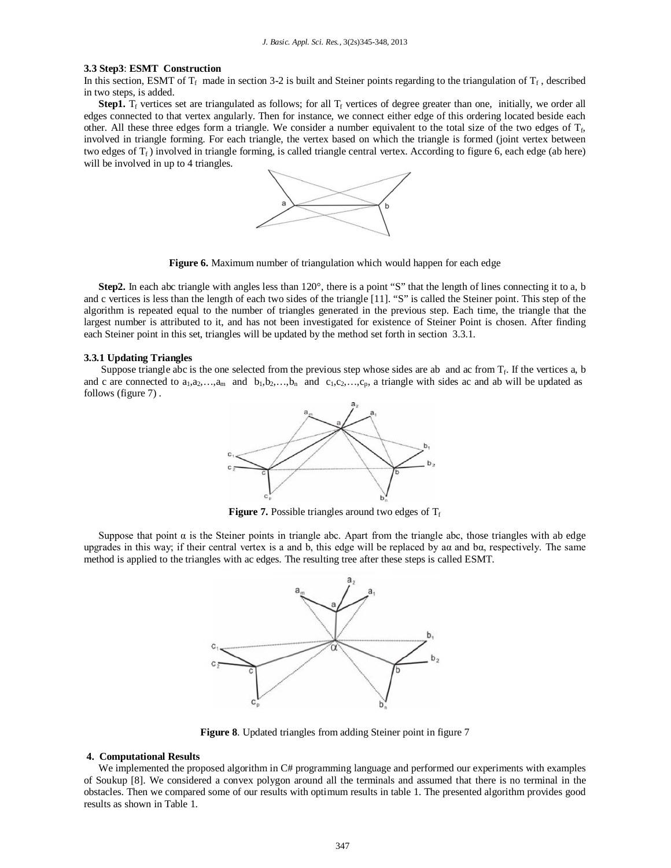#### **3.3 Step3**: **ESMT Construction**

In this section, ESMT of  $T_f$  made in section 3-2 is built and Steiner points regarding to the triangulation of  $T_f$ , described in two steps, is added.

**Step1.**  $T_f$  vertices set are triangulated as follows; for all  $T_f$  vertices of degree greater than one, initially, we order all edges connected to that vertex angularly. Then for instance, we connect either edge of this ordering located beside each other. All these three edges form a triangle. We consider a number equivalent to the total size of the two edges of  $T_f$ , involved in triangle forming. For each triangle, the vertex based on which the triangle is formed (joint vertex between two edges of  $T_f$ ) involved in triangle forming, is called triangle central vertex. According to figure 6, each edge (ab here) will be involved in up to 4 triangles.



**Figure 6.** Maximum number of triangulation which would happen for each edge

**Step2.** In each abc triangle with angles less than 120°, there is a point "S" that the length of lines connecting it to a, b and c vertices is less than the length of each two sides of the triangle [11]. "S" is called the Steiner point. This step of the algorithm is repeated equal to the number of triangles generated in the previous step. Each time, the triangle that the largest number is attributed to it, and has not been investigated for existence of Steiner Point is chosen. After finding each Steiner point in this set, triangles will be updated by the method set forth in section 3.3.1.

### **3.3.1 Updating Triangles**

Suppose triangle abc is the one selected from the previous step whose sides are ab and ac from  $T_f$ . If the vertices a, b and c are connected to  $a_1, a_2, \ldots, a_m$  and  $b_1, b_2, \ldots, b_n$  and  $c_1, c_2, \ldots, c_p$ , a triangle with sides ac and ab will be updated as follows (figure 7) .



**Figure 7.** Possible triangles around two edges of  $T_f$ 

Suppose that point  $\alpha$  is the Steiner points in triangle abc. Apart from the triangle abc, those triangles with ab edge upgrades in this way; if their central vertex is a and b, this edge will be replaced by aα and bα, respectively. The same method is applied to the triangles with ac edges. The resulting tree after these steps is called ESMT.



**Figure 8**. Updated triangles from adding Steiner point in figure 7

#### **4. Computational Results**

We implemented the proposed algorithm in C# programming language and performed our experiments with examples of Soukup [8]. We considered a convex polygon around all the terminals and assumed that there is no terminal in the obstacles. Then we compared some of our results with optimum results in table 1. The presented algorithm provides good results as shown in Table 1.